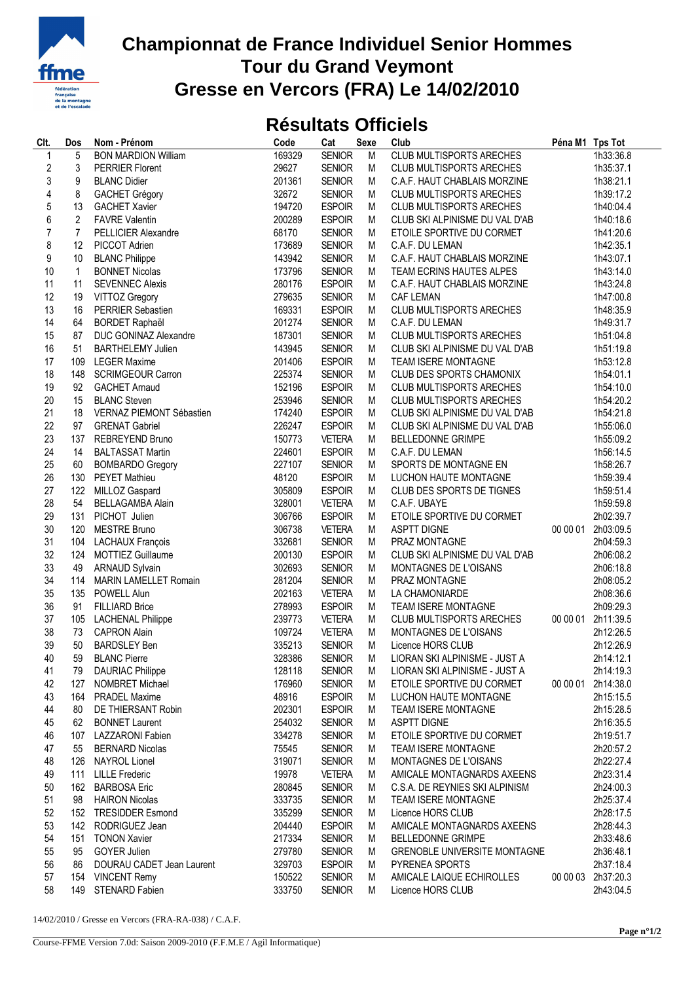

## **Championnat de France Individuel Senior Hommes Tour du Grand Veymont Gresse en Vercors (FRA) Le 14/02/2010**

## **Résultats Officiels**

| Clt.           | Dos            | Nom - Prénom                 | Code   | Cat           | Sexe | Club                                | Péna M1 Tps Tot |                    |
|----------------|----------------|------------------------------|--------|---------------|------|-------------------------------------|-----------------|--------------------|
| $\mathbf 1$    | 5              | <b>BON MARDION William</b>   | 169329 | <b>SENIOR</b> | M    | <b>CLUB MULTISPORTS ARECHES</b>     |                 | 1h33:36.8          |
| $\sqrt{2}$     | 3              | <b>PERRIER Florent</b>       | 29627  | <b>SENIOR</b> | M    | <b>CLUB MULTISPORTS ARECHES</b>     |                 | 1h35:37.1          |
| 3              | 9              | <b>BLANC Didier</b>          | 201361 | <b>SENIOR</b> | M    | C.A.F. HAUT CHABLAIS MORZINE        |                 | 1h38:21.1          |
| 4              | 8              | <b>GACHET Grégory</b>        | 32672  | <b>SENIOR</b> | M    | CLUB MULTISPORTS ARECHES            |                 | 1h39:17.2          |
| 5              | 13             | <b>GACHET Xavier</b>         | 194720 | <b>ESPOIR</b> | М    | <b>CLUB MULTISPORTS ARECHES</b>     |                 | 1h40:04.4          |
| 6              | $\overline{2}$ | <b>FAVRE Valentin</b>        | 200289 | <b>ESPOIR</b> | M    | CLUB SKI ALPINISME DU VAL D'AB      |                 | 1h40:18.6          |
| $\overline{7}$ | $\overline{7}$ | PELLICIER Alexandre          | 68170  | <b>SENIOR</b> | M    | ETOILE SPORTIVE DU CORMET           |                 | 1h41:20.6          |
| 8              | 12             | PICCOT Adrien                | 173689 | <b>SENIOR</b> | М    | C.A.F. DU LEMAN                     |                 | 1h42:35.1          |
| 9              | 10             | <b>BLANC Philippe</b>        | 143942 | <b>SENIOR</b> | М    | C.A.F. HAUT CHABLAIS MORZINE        |                 | 1h43:07.1          |
| 10             | $\mathbf{1}$   | <b>BONNET Nicolas</b>        | 173796 | <b>SENIOR</b> | М    | TEAM ECRINS HAUTES ALPES            |                 | 1h43:14.0          |
| 11             | 11             | <b>SEVENNEC Alexis</b>       | 280176 | <b>ESPOIR</b> | M    | C.A.F. HAUT CHABLAIS MORZINE        |                 | 1h43:24.8          |
| 12             | 19             | VITTOZ Gregory               | 279635 | <b>SENIOR</b> | M    | <b>CAF LEMAN</b>                    |                 | 1h47:00.8          |
| 13             | 16             | PERRIER Sebastien            | 169331 | <b>ESPOIR</b> | M    | <b>CLUB MULTISPORTS ARECHES</b>     |                 | 1h48:35.9          |
| 14             | 64             | <b>BORDET Raphaël</b>        | 201274 | <b>SENIOR</b> | M    | C.A.F. DU LEMAN                     |                 | 1h49:31.7          |
| 15             | 87             | DUC GONINAZ Alexandre        | 187301 | <b>SENIOR</b> | М    | CLUB MULTISPORTS ARECHES            |                 | 1h51:04.8          |
| 16             | 51             | <b>BARTHELEMY Julien</b>     | 143945 | <b>SENIOR</b> | M    | CLUB SKI ALPINISME DU VAL D'AB      |                 | 1h51:19.8          |
|                |                |                              |        |               |      |                                     |                 |                    |
| 17             | 109            | <b>LEGER Maxime</b>          | 201406 | <b>ESPOIR</b> | M    | TEAM ISERE MONTAGNE                 |                 | 1h53:12.8          |
| 18             | 148            | <b>SCRIMGEOUR Carron</b>     | 225374 | <b>SENIOR</b> | M    | CLUB DES SPORTS CHAMONIX            |                 | 1h54:01.1          |
| 19             | 92             | <b>GACHET Arnaud</b>         | 152196 | <b>ESPOIR</b> | M    | <b>CLUB MULTISPORTS ARECHES</b>     |                 | 1h54:10.0          |
| 20             | 15             | <b>BLANC Steven</b>          | 253946 | <b>SENIOR</b> | M    | <b>CLUB MULTISPORTS ARECHES</b>     |                 | 1h54:20.2          |
| 21             | 18             | VERNAZ PIEMONT Sébastien     | 174240 | <b>ESPOIR</b> | M    | CLUB SKI ALPINISME DU VAL D'AB      |                 | 1h54:21.8          |
| 22             | 97             | <b>GRENAT Gabriel</b>        | 226247 | <b>ESPOIR</b> | M    | CLUB SKI ALPINISME DU VAL D'AB      |                 | 1h55:06.0          |
| 23             | 137            | REBREYEND Bruno              | 150773 | <b>VETERA</b> | М    | <b>BELLEDONNE GRIMPE</b>            |                 | 1h55:09.2          |
| 24             | 14             | <b>BALTASSAT Martin</b>      | 224601 | <b>ESPOIR</b> | M    | C.A.F. DU LEMAN                     |                 | 1h56:14.5          |
| 25             | 60             | <b>BOMBARDO Gregory</b>      | 227107 | <b>SENIOR</b> | M    | SPORTS DE MONTAGNE EN               |                 | 1h58:26.7          |
| 26             | 130            | <b>PEYET Mathieu</b>         | 48120  | <b>ESPOIR</b> | M    | LUCHON HAUTE MONTAGNE               |                 | 1h59:39.4          |
| 27             | 122            | MILLOZ Gaspard               | 305809 | <b>ESPOIR</b> | М    | CLUB DES SPORTS DE TIGNES           |                 | 1h59:51.4          |
| 28             | 54             | <b>BELLAGAMBA Alain</b>      | 328001 | <b>VETERA</b> | М    | C.A.F. UBAYE                        |                 | 1h59:59.8          |
| 29             | 131            | PICHOT Julien                | 306766 | <b>ESPOIR</b> | М    | ETOILE SPORTIVE DU CORMET           |                 | 2h02:39.7          |
| 30             | 120            | <b>MESTRE Bruno</b>          | 306738 | <b>VETERA</b> | M    | <b>ASPTT DIGNE</b>                  | 00 00 01        | 2h03:09.5          |
| 31             | 104            | <b>LACHAUX François</b>      | 332681 | <b>SENIOR</b> | M    | PRAZ MONTAGNE                       |                 | 2h04:59.3          |
| 32             | 124            | <b>MOTTIEZ Guillaume</b>     | 200130 | <b>ESPOIR</b> | M    | CLUB SKI ALPINISME DU VAL D'AB      |                 | 2h06:08.2          |
| 33             | 49             | <b>ARNAUD Sylvain</b>        | 302693 | <b>SENIOR</b> | M    | MONTAGNES DE L'OISANS               |                 | 2h06:18.8          |
| 34             | 114            | <b>MARIN LAMELLET Romain</b> | 281204 | <b>SENIOR</b> | M    | PRAZ MONTAGNE                       |                 | 2h08:05.2          |
| 35             | 135            | POWELL Alun                  | 202163 | <b>VETERA</b> | М    | LA CHAMONIARDE                      |                 | 2h08:36.6          |
| 36             | 91             | <b>FILLIARD Brice</b>        | 278993 | <b>ESPOIR</b> | M    | TEAM ISERE MONTAGNE                 |                 | 2h09:29.3          |
| 37             | 105            | <b>LACHENAL Philippe</b>     | 239773 | <b>VETERA</b> | M    | <b>CLUB MULTISPORTS ARECHES</b>     |                 | 00 00 01 2h11:39.5 |
| 38             | 73             | <b>CAPRON Alain</b>          | 109724 | <b>VETERA</b> | M    | MONTAGNES DE L'OISANS               |                 | 2h12:26.5          |
| 39             | 50             | <b>BARDSLEY Ben</b>          | 335213 | <b>SENIOR</b> | M    | Licence HORS CLUB                   |                 | 2h12:26.9          |
| 40             | 59             | <b>BLANC Pierre</b>          | 328386 | <b>SENIOR</b> | М    | LIORAN SKI ALPINISME - JUST A       |                 | 2h14:12.1          |
| 41             | 79             | <b>DAURIAC Philippe</b>      | 128118 | <b>SENIOR</b> | M    | LIORAN SKI ALPINISME - JUST A       |                 | 2h14:19.3          |
| 42             | 127            | NOMBRET Michael              | 176960 | <b>SENIOR</b> | М    | ETOILE SPORTIVE DU CORMET           |                 | 00 00 01 2h14:38.0 |
| 43             |                | <b>PRADEL Maxime</b>         |        |               |      |                                     |                 |                    |
|                | 164            |                              | 48916  | <b>ESPOIR</b> | M    | LUCHON HAUTE MONTAGNE               |                 | 2h15:15.5          |
| 44             | 80             | DE THIERSANT Robin           | 202301 | <b>ESPOIR</b> | M    | TEAM ISERE MONTAGNE                 |                 | 2h15:28.5          |
| 45             | 62             | <b>BONNET Laurent</b>        | 254032 | <b>SENIOR</b> | M    | <b>ASPTT DIGNE</b>                  |                 | 2h16:35.5          |
| 46             | 107            | LAZZARONI Fabien             | 334278 | <b>SENIOR</b> | M    | ETOILE SPORTIVE DU CORMET           |                 | 2h19:51.7          |
| 47             | 55             | <b>BERNARD Nicolas</b>       | 75545  | <b>SENIOR</b> | M    | TEAM ISERE MONTAGNE                 |                 | 2h20:57.2          |
| 48             | 126            | <b>NAYROL Lionel</b>         | 319071 | <b>SENIOR</b> | М    | MONTAGNES DE L'OISANS               |                 | 2h22:27.4          |
| 49             | 111            | <b>LILLE Frederic</b>        | 19978  | <b>VETERA</b> | M    | AMICALE MONTAGNARDS AXEENS          |                 | 2h23:31.4          |
| 50             | 162            | <b>BARBOSA Eric</b>          | 280845 | <b>SENIOR</b> | M    | C.S.A. DE REYNIES SKI ALPINISM      |                 | 2h24:00.3          |
| 51             | 98             | <b>HAIRON Nicolas</b>        | 333735 | <b>SENIOR</b> | M    | TEAM ISERE MONTAGNE                 |                 | 2h25:37.4          |
| 52             | 152            | <b>TRESIDDER Esmond</b>      | 335299 | <b>SENIOR</b> | M    | Licence HORS CLUB                   |                 | 2h28:17.5          |
| 53             | 142            | RODRIGUEZ Jean               | 204440 | <b>ESPOIR</b> | M    | AMICALE MONTAGNARDS AXEENS          |                 | 2h28:44.3          |
| 54             | 151            | <b>TONON Xavier</b>          | 217334 | <b>SENIOR</b> | M    | <b>BELLEDONNE GRIMPE</b>            |                 | 2h33:48.6          |
| 55             | 95             | GOYER Julien                 | 279780 | <b>SENIOR</b> | M    | <b>GRENOBLE UNIVERSITE MONTAGNE</b> |                 | 2h36:48.1          |
| 56             | 86             | DOURAU CADET Jean Laurent    | 329703 | <b>ESPOIR</b> | М    | PYRENEA SPORTS                      |                 | 2h37:18.4          |
| 57             |                | 154 VINCENT Remy             | 150522 | <b>SENIOR</b> | M    | AMICALE LAIQUE ECHIROLLES           |                 | 00 00 03 2h37:20.3 |
| 58             |                | 149 STENARD Fabien           | 333750 | <b>SENIOR</b> | M    | Licence HORS CLUB                   |                 | 2h43:04.5          |

14/02/2010 / Gresse en Vercors (FRA-RA-038) / C.A.F.